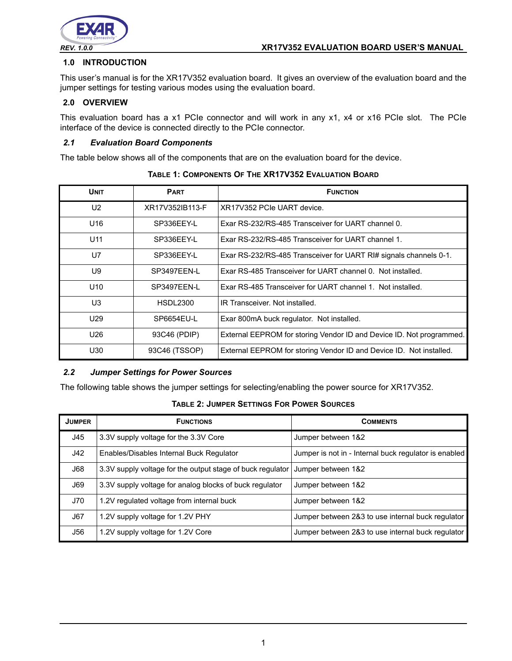

# **1.0 INTRODUCTION**

This user's manual is for the XR17V352 evaluation board. It gives an overview of the evaluation board and the jumper settings for testing various modes using the evaluation board.

# **2.0 OVERVIEW**

This evaluation board has a x1 PCIe connector and will work in any x1, x4 or x16 PCIe slot. The PCIe interface of the device is connected directly to the PCIe connector.

### *2.1 Evaluation Board Components*

The table below shows all of the components that are on the evaluation board for the device.

| <b>UNIT</b>     | <b>PART</b>     | <b>FUNCTION</b>                                                      |
|-----------------|-----------------|----------------------------------------------------------------------|
| U <sub>2</sub>  | XR17V352IB113-F | XR17V352 PCIe UART device.                                           |
| U16             | SP336EEY-L      | Exar RS-232/RS-485 Transceiver for UART channel 0.                   |
| U <sub>11</sub> | SP336EEY-L      | Exar RS-232/RS-485 Transceiver for UART channel 1.                   |
| U7              | SP336EEY-L      | Exar RS-232/RS-485 Transceiver for UART RI# signals channels 0-1.    |
| U9              | SP3497EEN-L     | Exar RS-485 Transceiver for UART channel 0. Not installed.           |
| U <sub>10</sub> | SP3497EEN-L     | Exar RS-485 Transceiver for UART channel 1. Not installed.           |
| U3              | <b>HSDL2300</b> | IR Transceiver. Not installed.                                       |
| U <sub>29</sub> | SP6654EU-L      | Exar 800mA buck regulator. Not installed.                            |
| U26             | 93C46 (PDIP)    | External EEPROM for storing Vendor ID and Device ID. Not programmed. |
| U30             | 93C46 (TSSOP)   | External EEPROM for storing Vendor ID and Device ID. Not installed.  |

**TABLE 1: COMPONENTS OF THE XR17V352 EVALUATION BOARD**

## *2.2 Jumper Settings for Power Sources*

The following table shows the jumper settings for selecting/enabling the power source for XR17V352.

### **TABLE 2: JUMPER SETTINGS FOR POWER SOURCES**

| <b>JUMPER</b> | <b>FUNCTIONS</b>                                           | <b>COMMENTS</b>                                       |
|---------------|------------------------------------------------------------|-------------------------------------------------------|
| J45           | 3.3V supply voltage for the 3.3V Core                      | Jumper between 1&2                                    |
| J42           | Enables/Disables Internal Buck Regulator                   | Jumper is not in - Internal buck regulator is enabled |
| J68           | 3.3V supply voltage for the output stage of buck regulator | Jumper between 1&2                                    |
| <b>J69</b>    | 3.3V supply voltage for analog blocks of buck regulator    | Jumper between 1&2                                    |
| J70           | 1.2V regulated voltage from internal buck                  | Jumper between 1&2                                    |
| J67           | 1.2V supply voltage for 1.2V PHY                           | Jumper between 2&3 to use internal buck regulator     |
| J56           | 1.2V supply voltage for 1.2V Core                          | Jumper between 2&3 to use internal buck regulator     |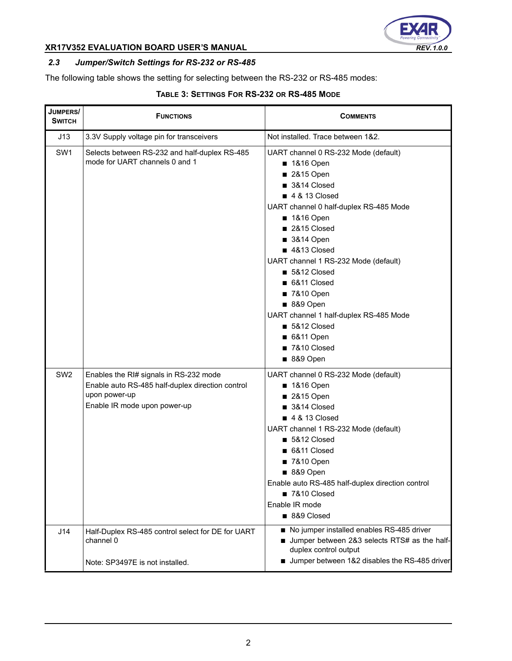

# **XR17V352 EVALUATION BOARD USER'S MANUAL** *REV. 1.0.0*

# *2.3 Jumper/Switch Settings for RS-232 or RS-485*

The following table shows the setting for selecting between the RS-232 or RS-485 modes:

# **TABLE 3: SETTINGS FOR RS-232 OR RS-485 MODE**

| JUMPERS/<br><b>SWITCH</b> | <b>FUNCTIONS</b>                                                                                                                            | <b>COMMENTS</b>                                                                                                                                                                                                                                                                                                                                                                                                    |
|---------------------------|---------------------------------------------------------------------------------------------------------------------------------------------|--------------------------------------------------------------------------------------------------------------------------------------------------------------------------------------------------------------------------------------------------------------------------------------------------------------------------------------------------------------------------------------------------------------------|
| J13                       | 3.3V Supply voltage pin for transceivers                                                                                                    | Not installed. Trace between 1&2.                                                                                                                                                                                                                                                                                                                                                                                  |
| SW <sub>1</sub>           | Selects between RS-232 and half-duplex RS-485<br>mode for UART channels 0 and 1                                                             | UART channel 0 RS-232 Mode (default)<br>■ 1&16 Open<br>2&15 Open<br>3&14 Closed<br>■ 4 & 13 Closed<br>UART channel 0 half-duplex RS-485 Mode<br>■ 1&16 Open<br>2&15 Closed<br>■ 3&14 Open<br>4&13 Closed<br>UART channel 1 RS-232 Mode (default)<br>5&12 Closed<br>6&11 Closed<br>■ 7&10 Open<br>■ 8&9 Open<br>UART channel 1 half-duplex RS-485 Mode<br>■ 5&12 Closed<br>■ 6&11 Open<br>7&10 Closed<br>■ 8&9 Open |
| SW <sub>2</sub>           | Enables the RI# signals in RS-232 mode<br>Enable auto RS-485 half-duplex direction control<br>upon power-up<br>Enable IR mode upon power-up | UART channel 0 RS-232 Mode (default)<br>■ 1&16 Open<br>2&15 Open<br>3&14 Closed<br>■ 4 & 13 Closed<br>UART channel 1 RS-232 Mode (default)<br>5&12 Closed<br>6&11 Closed<br>■ 7&10 Open<br>■ 8&9 Open<br>Enable auto RS-485 half-duplex direction control<br>7&10 Closed<br>Enable IR mode<br>8&9 Closed                                                                                                           |
| J14                       | Half-Duplex RS-485 control select for DE for UART<br>channel 0                                                                              | No jumper installed enables RS-485 driver<br>Jumper between 2&3 selects RTS# as the half-<br>duplex control output                                                                                                                                                                                                                                                                                                 |
|                           | Note: SP3497E is not installed.                                                                                                             | Jumper between 1&2 disables the RS-485 driver                                                                                                                                                                                                                                                                                                                                                                      |